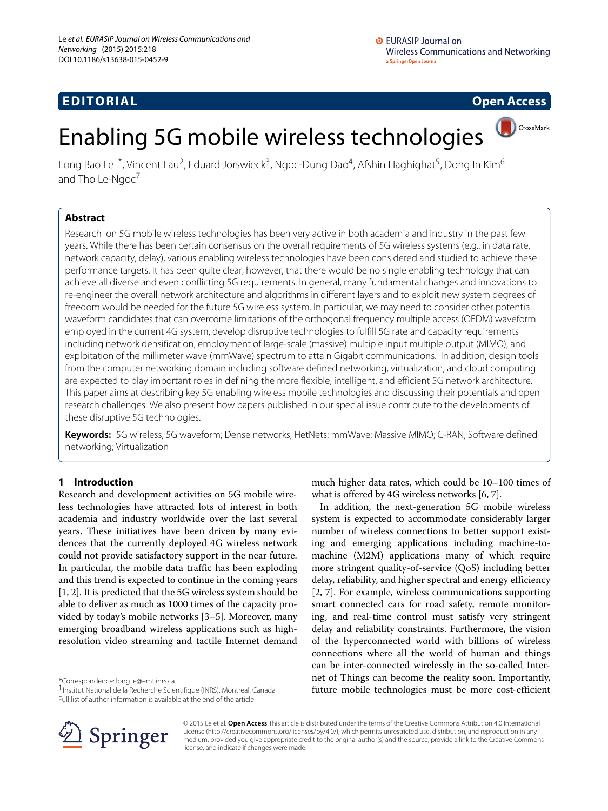CrossMark

# Enabling 5G mobile wireless technologies

Long Bao Le<sup>1\*</sup>, Vincent Lau<sup>2</sup>, Eduard Jorswieck<sup>3</sup>, Ngoc-Dung Dao<sup>4</sup>, Afshin Haghighat<sup>5</sup>, Dong In Kim<sup>6</sup> and Tho Le-Ngoc<sup>7</sup>

# **Abstract**

Research on 5G mobile wireless technologies has been very active in both academia and industry in the past few years. While there has been certain consensus on the overall requirements of 5G wireless systems (e.g., in data rate, network capacity, delay), various enabling wireless technologies have been considered and studied to achieve these performance targets. It has been quite clear, however, that there would be no single enabling technology that can achieve all diverse and even conflicting 5G requirements. In general, many fundamental changes and innovations to re-engineer the overall network architecture and algorithms in different layers and to exploit new system degrees of freedom would be needed for the future 5G wireless system. In particular, we may need to consider other potential waveform candidates that can overcome limitations of the orthogonal frequency multiple access (OFDM) waveform employed in the current 4G system, develop disruptive technologies to fulfill 5G rate and capacity requirements including network densification, employment of large-scale (massive) multiple input multiple output (MIMO), and exploitation of the millimeter wave (mmWave) spectrum to attain Gigabit communications. In addition, design tools from the computer networking domain including software defined networking, virtualization, and cloud computing are expected to play important roles in defining the more flexible, intelligent, and efficient 5G network architecture. This paper aims at describing key 5G enabling wireless mobile technologies and discussing their potentials and open research challenges. We also present how papers published in our special issue contribute to the developments of these disruptive 5G technologies.

**Keywords:** 5G wireless; 5G waveform; Dense networks; HetNets; mmWave; Massive MIMO; C-RAN; Software defined networking; Virtualization

# **1 Introduction**

Research and development activities on 5G mobile wireless technologies have attracted lots of interest in both academia and industry worldwide over the last several years. These initiatives have been driven by many evidences that the currently deployed 4G wireless network could not provide satisfactory support in the near future. In particular, the mobile data traffic has been exploding and this trend is expected to continue in the coming years [\[1,](#page-10-0) [2\]](#page-10-1). It is predicted that the 5G wireless system should be able to deliver as much as 1000 times of the capacity provided by today's mobile networks [\[3](#page-10-2)[–5\]](#page-10-3). Moreover, many emerging broadband wireless applications such as highresolution video streaming and tactile Internet demand

\*Correspondence: [long.le@emt.inrs.ca](mailto: long.le@emt.inrs.ca)

1Institut National de la Recherche Scientifique (INRS), Montreal, Canada Full list of author information is available at the end of the article

much higher data rates, which could be 10–100 times of what is offered by 4G wireless networks [\[6,](#page-10-4) [7\]](#page-10-5).

In addition, the next-generation 5G mobile wireless system is expected to accommodate considerably larger number of wireless connections to better support existing and emerging applications including machine-tomachine (M2M) applications many of which require more stringent quality-of-service (QoS) including better delay, reliability, and higher spectral and energy efficiency [\[2,](#page-10-1) [7\]](#page-10-5). For example, wireless communications supporting smart connected cars for road safety, remote monitoring, and real-time control must satisfy very stringent delay and reliability constraints. Furthermore, the vision of the hyperconnected world with billions of wireless connections where all the world of human and things can be inter-connected wirelessly in the so-called Internet of Things can become the reality soon. Importantly, future mobile technologies must be more cost-efficient



© 2015 Le et al. **Open Access** This article is distributed under the terms of the Creative Commons Attribution 4.0 International License [\(http://creativecommons.org/licenses/by/4.0/\)](http://creativecommons.org/licenses/by/4.0/), which permits unrestricted use, distribution, and reproduction in any medium, provided you give appropriate credit to the original author(s) and the source, provide a link to the Creative Commons license, and indicate if changes were made.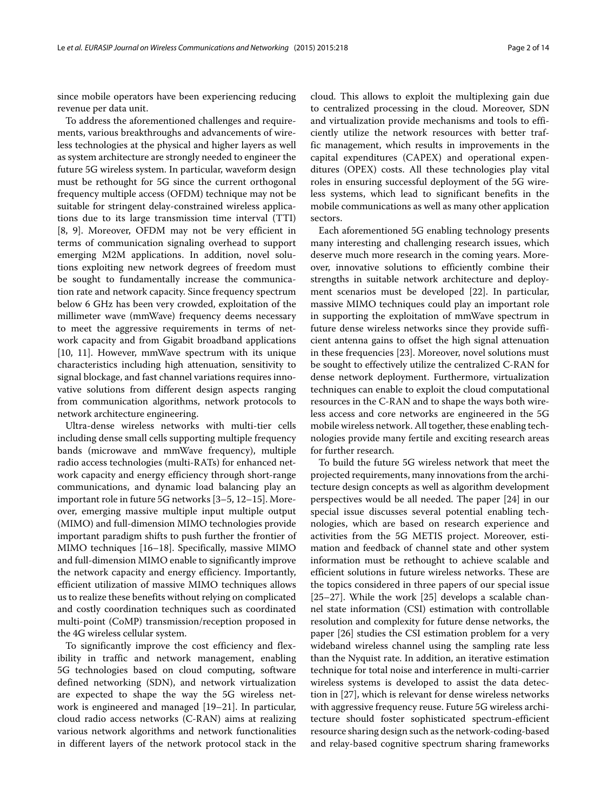since mobile operators have been experiencing reducing revenue per data unit.

To address the aforementioned challenges and requirements, various breakthroughs and advancements of wireless technologies at the physical and higher layers as well as system architecture are strongly needed to engineer the future 5G wireless system. In particular, waveform design must be rethought for 5G since the current orthogonal frequency multiple access (OFDM) technique may not be suitable for stringent delay-constrained wireless applications due to its large transmission time interval (TTI) [\[8,](#page-10-6) [9\]](#page-10-7). Moreover, OFDM may not be very efficient in terms of communication signaling overhead to support emerging M2M applications. In addition, novel solutions exploiting new network degrees of freedom must be sought to fundamentally increase the communication rate and network capacity. Since frequency spectrum below 6 GHz has been very crowded, exploitation of the millimeter wave (mmWave) frequency deems necessary to meet the aggressive requirements in terms of network capacity and from Gigabit broadband applications [\[10,](#page-10-8) [11\]](#page-10-9). However, mmWave spectrum with its unique characteristics including high attenuation, sensitivity to signal blockage, and fast channel variations requires innovative solutions from different design aspects ranging from communication algorithms, network protocols to network architecture engineering.

Ultra-dense wireless networks with multi-tier cells including dense small cells supporting multiple frequency bands (microwave and mmWave frequency), multiple radio access technologies (multi-RATs) for enhanced network capacity and energy efficiency through short-range communications, and dynamic load balancing play an important role in future 5G networks [\[3](#page-10-2)[–5,](#page-10-3) [12–](#page-10-10)[15\]](#page-10-11). Moreover, emerging massive multiple input multiple output (MIMO) and full-dimension MIMO technologies provide important paradigm shifts to push further the frontier of MIMO techniques [\[16](#page-10-12)[–18\]](#page-10-13). Specifically, massive MIMO and full-dimension MIMO enable to significantly improve the network capacity and energy efficiency. Importantly, efficient utilization of massive MIMO techniques allows us to realize these benefits without relying on complicated and costly coordination techniques such as coordinated multi-point (CoMP) transmission/reception proposed in the 4G wireless cellular system.

To significantly improve the cost efficiency and flexibility in traffic and network management, enabling 5G technologies based on cloud computing, software defined networking (SDN), and network virtualization are expected to shape the way the 5G wireless network is engineered and managed [\[19](#page-10-14)[–21\]](#page-10-15). In particular, cloud radio access networks (C-RAN) aims at realizing various network algorithms and network functionalities in different layers of the network protocol stack in the

cloud. This allows to exploit the multiplexing gain due to centralized processing in the cloud. Moreover, SDN and virtualization provide mechanisms and tools to efficiently utilize the network resources with better traffic management, which results in improvements in the capital expenditures (CAPEX) and operational expenditures (OPEX) costs. All these technologies play vital roles in ensuring successful deployment of the 5G wireless systems, which lead to significant benefits in the mobile communications as well as many other application sectors.

Each aforementioned 5G enabling technology presents many interesting and challenging research issues, which deserve much more research in the coming years. Moreover, innovative solutions to efficiently combine their strengths in suitable network architecture and deployment scenarios must be developed [\[22\]](#page-10-16). In particular, massive MIMO techniques could play an important role in supporting the exploitation of mmWave spectrum in future dense wireless networks since they provide sufficient antenna gains to offset the high signal attenuation in these frequencies [\[23\]](#page-10-17). Moreover, novel solutions must be sought to effectively utilize the centralized C-RAN for dense network deployment. Furthermore, virtualization techniques can enable to exploit the cloud computational resources in the C-RAN and to shape the ways both wireless access and core networks are engineered in the 5G mobile wireless network. All together, these enabling technologies provide many fertile and exciting research areas for further research.

To build the future 5G wireless network that meet the projected requirements, many innovations from the architecture design concepts as well as algorithm development perspectives would be all needed. The paper [\[24\]](#page-10-18) in our special issue discusses several potential enabling technologies, which are based on research experience and activities from the 5G METIS project. Moreover, estimation and feedback of channel state and other system information must be rethought to achieve scalable and efficient solutions in future wireless networks. These are the topics considered in three papers of our special issue [\[25](#page-10-19)[–27\]](#page-10-20). While the work [\[25\]](#page-10-19) develops a scalable channel state information (CSI) estimation with controllable resolution and complexity for future dense networks, the paper [\[26\]](#page-10-21) studies the CSI estimation problem for a very wideband wireless channel using the sampling rate less than the Nyquist rate. In addition, an iterative estimation technique for total noise and interference in multi-carrier wireless systems is developed to assist the data detection in [\[27\]](#page-10-20), which is relevant for dense wireless networks with aggressive frequency reuse. Future 5G wireless architecture should foster sophisticated spectrum-efficient resource sharing design such as the network-coding-based and relay-based cognitive spectrum sharing frameworks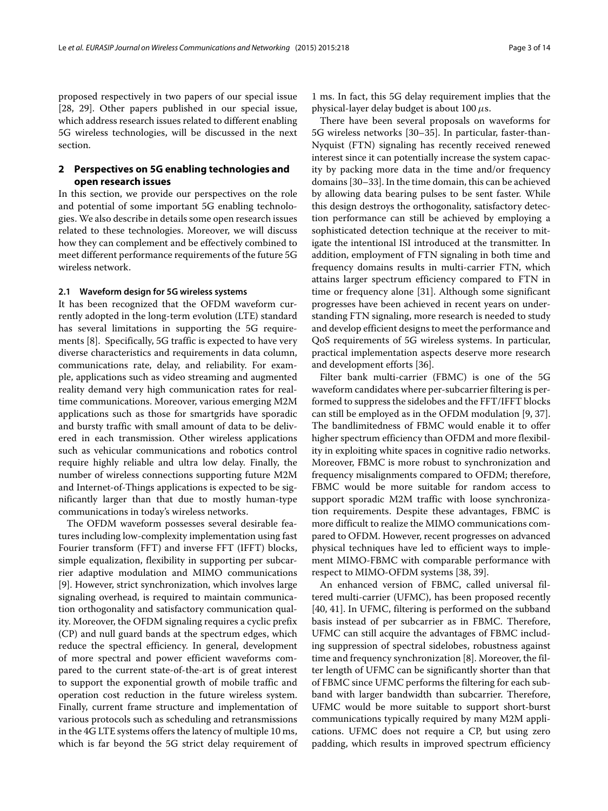proposed respectively in two papers of our special issue [\[28,](#page-10-22) [29\]](#page-10-23). Other papers published in our special issue, which address research issues related to different enabling 5G wireless technologies, will be discussed in the next section.

## **2 Perspectives on 5G enabling technologies and open research issues**

In this section, we provide our perspectives on the role and potential of some important 5G enabling technologies. We also describe in details some open research issues related to these technologies. Moreover, we will discuss how they can complement and be effectively combined to meet different performance requirements of the future 5G wireless network.

## **2.1 Waveform design for 5G wireless systems**

It has been recognized that the OFDM waveform currently adopted in the long-term evolution (LTE) standard has several limitations in supporting the 5G requirements [\[8\]](#page-10-6). Specifically, 5G traffic is expected to have very diverse characteristics and requirements in data column, communications rate, delay, and reliability. For example, applications such as video streaming and augmented reality demand very high communication rates for realtime communications. Moreover, various emerging M2M applications such as those for smartgrids have sporadic and bursty traffic with small amount of data to be delivered in each transmission. Other wireless applications such as vehicular communications and robotics control require highly reliable and ultra low delay. Finally, the number of wireless connections supporting future M2M and Internet-of-Things applications is expected to be significantly larger than that due to mostly human-type communications in today's wireless networks.

The OFDM waveform possesses several desirable features including low-complexity implementation using fast Fourier transform (FFT) and inverse FFT (IFFT) blocks, simple equalization, flexibility in supporting per subcarrier adaptive modulation and MIMO communications [\[9\]](#page-10-7). However, strict synchronization, which involves large signaling overhead, is required to maintain communication orthogonality and satisfactory communication quality. Moreover, the OFDM signaling requires a cyclic prefix (CP) and null guard bands at the spectrum edges, which reduce the spectral efficiency. In general, development of more spectral and power efficient waveforms compared to the current state-of-the-art is of great interest to support the exponential growth of mobile traffic and operation cost reduction in the future wireless system. Finally, current frame structure and implementation of various protocols such as scheduling and retransmissions in the 4G LTE systems offers the latency of multiple 10 ms, which is far beyond the 5G strict delay requirement of 1 ms. In fact, this 5G delay requirement implies that the physical-layer delay budget is about 100  $\mu$ s.

There have been several proposals on waveforms for 5G wireless networks [\[30–](#page-10-24)[35\]](#page-10-25). In particular, faster-than-Nyquist (FTN) signaling has recently received renewed interest since it can potentially increase the system capacity by packing more data in the time and/or frequency domains [\[30–](#page-10-24)[33\]](#page-10-26). In the time domain, this can be achieved by allowing data bearing pulses to be sent faster. While this design destroys the orthogonality, satisfactory detection performance can still be achieved by employing a sophisticated detection technique at the receiver to mitigate the intentional ISI introduced at the transmitter. In addition, employment of FTN signaling in both time and frequency domains results in multi-carrier FTN, which attains larger spectrum efficiency compared to FTN in time or frequency alone [\[31\]](#page-10-27). Although some significant progresses have been achieved in recent years on understanding FTN signaling, more research is needed to study and develop efficient designs to meet the performance and QoS requirements of 5G wireless systems. In particular, practical implementation aspects deserve more research and development efforts [\[36\]](#page-10-28).

Filter bank multi-carrier (FBMC) is one of the 5G waveform candidates where per-subcarrier filtering is performed to suppress the sidelobes and the FFT/IFFT blocks can still be employed as in the OFDM modulation [\[9,](#page-10-7) [37\]](#page-10-29). The bandlimitedness of FBMC would enable it to offer higher spectrum efficiency than OFDM and more flexibility in exploiting white spaces in cognitive radio networks. Moreover, FBMC is more robust to synchronization and frequency misalignments compared to OFDM; therefore, FBMC would be more suitable for random access to support sporadic M2M traffic with loose synchronization requirements. Despite these advantages, FBMC is more difficult to realize the MIMO communications compared to OFDM. However, recent progresses on advanced physical techniques have led to efficient ways to implement MIMO-FBMC with comparable performance with respect to MIMO-OFDM systems [\[38,](#page-10-30) [39\]](#page-10-31).

An enhanced version of FBMC, called universal filtered multi-carrier (UFMC), has been proposed recently [\[40,](#page-10-32) [41\]](#page-10-33). In UFMC, filtering is performed on the subband basis instead of per subcarrier as in FBMC. Therefore, UFMC can still acquire the advantages of FBMC including suppression of spectral sidelobes, robustness against time and frequency synchronization [\[8\]](#page-10-6). Moreover, the filter length of UFMC can be significantly shorter than that of FBMC since UFMC performs the filtering for each subband with larger bandwidth than subcarrier. Therefore, UFMC would be more suitable to support short-burst communications typically required by many M2M applications. UFMC does not require a CP, but using zero padding, which results in improved spectrum efficiency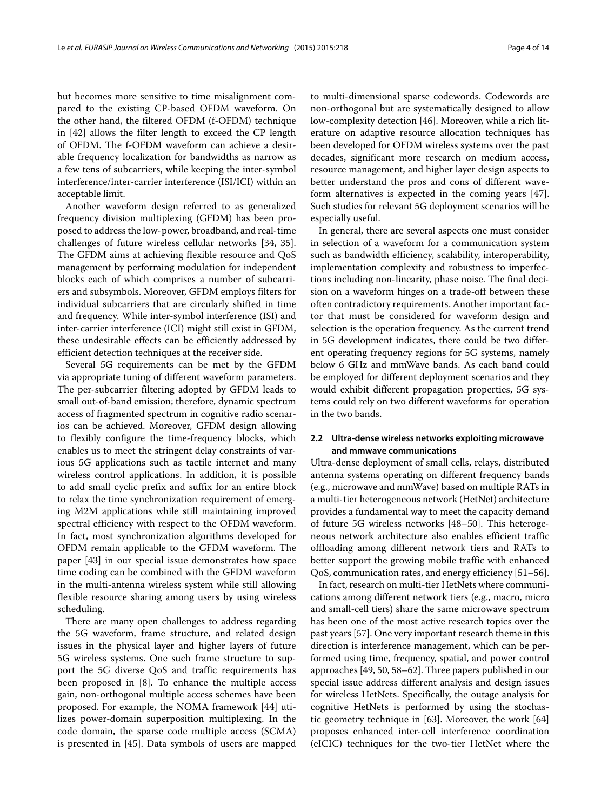but becomes more sensitive to time misalignment compared to the existing CP-based OFDM waveform. On the other hand, the filtered OFDM (f-OFDM) technique in [\[42\]](#page-10-34) allows the filter length to exceed the CP length of OFDM. The f-OFDM waveform can achieve a desirable frequency localization for bandwidths as narrow as a few tens of subcarriers, while keeping the inter-symbol interference/inter-carrier interference (ISI/ICI) within an acceptable limit.

Another waveform design referred to as generalized frequency division multiplexing (GFDM) has been proposed to address the low-power, broadband, and real-time challenges of future wireless cellular networks [\[34,](#page-10-35) [35\]](#page-10-25). The GFDM aims at achieving flexible resource and QoS management by performing modulation for independent blocks each of which comprises a number of subcarriers and subsymbols. Moreover, GFDM employs filters for individual subcarriers that are circularly shifted in time and frequency. While inter-symbol interference (ISI) and inter-carrier interference (ICI) might still exist in GFDM, these undesirable effects can be efficiently addressed by efficient detection techniques at the receiver side.

Several 5G requirements can be met by the GFDM via appropriate tuning of different waveform parameters. The per-subcarrier filtering adopted by GFDM leads to small out-of-band emission; therefore, dynamic spectrum access of fragmented spectrum in cognitive radio scenarios can be achieved. Moreover, GFDM design allowing to flexibly configure the time-frequency blocks, which enables us to meet the stringent delay constraints of various 5G applications such as tactile internet and many wireless control applications. In addition, it is possible to add small cyclic prefix and suffix for an entire block to relax the time synchronization requirement of emerging M2M applications while still maintaining improved spectral efficiency with respect to the OFDM waveform. In fact, most synchronization algorithms developed for OFDM remain applicable to the GFDM waveform. The paper [\[43\]](#page-10-36) in our special issue demonstrates how space time coding can be combined with the GFDM waveform in the multi-antenna wireless system while still allowing flexible resource sharing among users by using wireless scheduling.

There are many open challenges to address regarding the 5G waveform, frame structure, and related design issues in the physical layer and higher layers of future 5G wireless systems. One such frame structure to support the 5G diverse QoS and traffic requirements has been proposed in [\[8\]](#page-10-6). To enhance the multiple access gain, non-orthogonal multiple access schemes have been proposed. For example, the NOMA framework [\[44\]](#page-10-37) utilizes power-domain superposition multiplexing. In the code domain, the sparse code multiple access (SCMA) is presented in [\[45\]](#page-10-38). Data symbols of users are mapped

to multi-dimensional sparse codewords. Codewords are non-orthogonal but are systematically designed to allow low-complexity detection [\[46\]](#page-10-39). Moreover, while a rich literature on adaptive resource allocation techniques has been developed for OFDM wireless systems over the past decades, significant more research on medium access, resource management, and higher layer design aspects to better understand the pros and cons of different waveform alternatives is expected in the coming years [\[47\]](#page-11-0). Such studies for relevant 5G deployment scenarios will be especially useful.

In general, there are several aspects one must consider in selection of a waveform for a communication system such as bandwidth efficiency, scalability, interoperability, implementation complexity and robustness to imperfections including non-linearity, phase noise. The final decision on a waveform hinges on a trade-off between these often contradictory requirements. Another important factor that must be considered for waveform design and selection is the operation frequency. As the current trend in 5G development indicates, there could be two different operating frequency regions for 5G systems, namely below 6 GHz and mmWave bands. As each band could be employed for different deployment scenarios and they would exhibit different propagation properties, 5G systems could rely on two different waveforms for operation in the two bands.

## **2.2 Ultra-dense wireless networks exploiting microwave and mmwave communications**

Ultra-dense deployment of small cells, relays, distributed antenna systems operating on different frequency bands (e.g., microwave and mmWave) based on multiple RATs in a multi-tier heterogeneous network (HetNet) architecture provides a fundamental way to meet the capacity demand of future 5G wireless networks [\[48–](#page-11-1)[50\]](#page-11-2). This heterogeneous network architecture also enables efficient traffic offloading among different network tiers and RATs to better support the growing mobile traffic with enhanced QoS, communication rates, and energy efficiency [\[51–](#page-11-3)[56\]](#page-11-4).

In fact, research on multi-tier HetNets where communications among different network tiers (e.g., macro, micro and small-cell tiers) share the same microwave spectrum has been one of the most active research topics over the past years [\[57\]](#page-11-5). One very important research theme in this direction is interference management, which can be performed using time, frequency, spatial, and power control approaches [\[49,](#page-11-6) [50,](#page-11-2) [58](#page-11-7)[–62\]](#page-11-8). Three papers published in our special issue address different analysis and design issues for wireless HetNets. Specifically, the outage analysis for cognitive HetNets is performed by using the stochastic geometry technique in [\[63\]](#page-11-9). Moreover, the work [\[64\]](#page-11-10) proposes enhanced inter-cell interference coordination (eICIC) techniques for the two-tier HetNet where the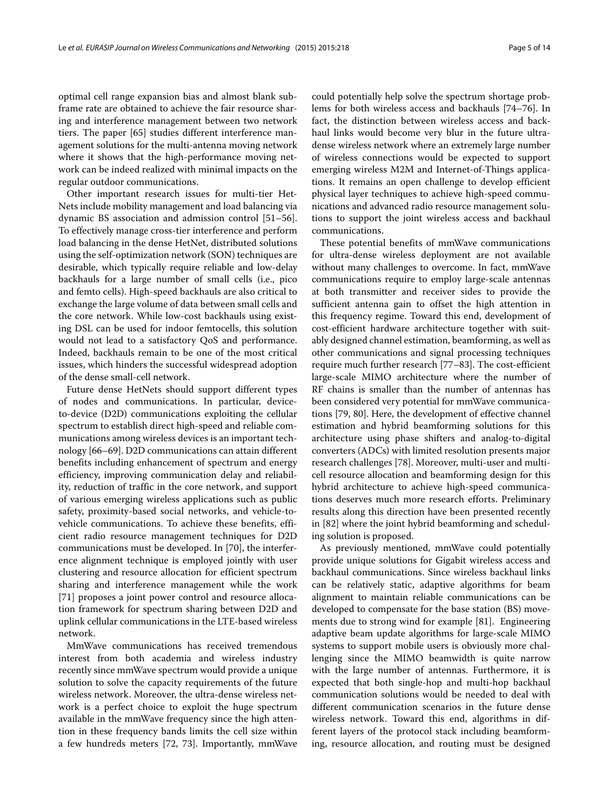optimal cell range expansion bias and almost blank subframe rate are obtained to achieve the fair resource sharing and interference management between two network tiers. The paper [\[65\]](#page-11-11) studies different interference management solutions for the multi-antenna moving network where it shows that the high-performance moving network can be indeed realized with minimal impacts on the regular outdoor communications.

Other important research issues for multi-tier Het-Nets include mobility management and load balancing via dynamic BS association and admission control [\[51–](#page-11-3)[56\]](#page-11-4). To effectively manage cross-tier interference and perform load balancing in the dense HetNet, distributed solutions using the self-optimization network (SON) techniques are desirable, which typically require reliable and low-delay backhauls for a large number of small cells (i.e., pico and femto cells). High-speed backhauls are also critical to exchange the large volume of data between small cells and the core network. While low-cost backhauls using existing DSL can be used for indoor femtocells, this solution would not lead to a satisfactory QoS and performance. Indeed, backhauls remain to be one of the most critical issues, which hinders the successful widespread adoption of the dense small-cell network.

Future dense HetNets should support different types of nodes and communications. In particular, deviceto-device (D2D) communications exploiting the cellular spectrum to establish direct high-speed and reliable communications among wireless devices is an important technology [\[66–](#page-11-12)[69\]](#page-11-13). D2D communications can attain different benefits including enhancement of spectrum and energy efficiency, improving communication delay and reliability, reduction of traffic in the core network, and support of various emerging wireless applications such as public safety, proximity-based social networks, and vehicle-tovehicle communications. To achieve these benefits, efficient radio resource management techniques for D2D communications must be developed. In [\[70\]](#page-11-14), the interference alignment technique is employed jointly with user clustering and resource allocation for efficient spectrum sharing and interference management while the work [\[71\]](#page-11-15) proposes a joint power control and resource allocation framework for spectrum sharing between D2D and uplink cellular communications in the LTE-based wireless network.

MmWave communications has received tremendous interest from both academia and wireless industry recently since mmWave spectrum would provide a unique solution to solve the capacity requirements of the future wireless network. Moreover, the ultra-dense wireless network is a perfect choice to exploit the huge spectrum available in the mmWave frequency since the high attention in these frequency bands limits the cell size within a few hundreds meters [\[72,](#page-11-16) [73\]](#page-11-17). Importantly, mmWave could potentially help solve the spectrum shortage problems for both wireless access and backhauls [\[74–](#page-11-18)[76\]](#page-11-19). In fact, the distinction between wireless access and backhaul links would become very blur in the future ultradense wireless network where an extremely large number of wireless connections would be expected to support emerging wireless M2M and Internet-of-Things applications. It remains an open challenge to develop efficient physical layer techniques to achieve high-speed communications and advanced radio resource management solutions to support the joint wireless access and backhaul communications.

These potential benefits of mmWave communications for ultra-dense wireless deployment are not available without many challenges to overcome. In fact, mmWave communications require to employ large-scale antennas at both transmitter and receiver sides to provide the sufficient antenna gain to offset the high attention in this frequency regime. Toward this end, development of cost-efficient hardware architecture together with suitably designed channel estimation, beamforming, as well as other communications and signal processing techniques require much further research [\[77–](#page-11-20)[83\]](#page-11-21). The cost-efficient large-scale MIMO architecture where the number of RF chains is smaller than the number of antennas has been considered very potential for mmWave communications [\[79,](#page-11-22) [80\]](#page-11-23). Here, the development of effective channel estimation and hybrid beamforming solutions for this architecture using phase shifters and analog-to-digital converters (ADCs) with limited resolution presents major research challenges [\[78\]](#page-11-24). Moreover, multi-user and multicell resource allocation and beamforming design for this hybrid architecture to achieve high-speed communications deserves much more research efforts. Preliminary results along this direction have been presented recently in [\[82\]](#page-11-25) where the joint hybrid beamforming and scheduling solution is proposed.

As previously mentioned, mmWave could potentially provide unique solutions for Gigabit wireless access and backhaul communications. Since wireless backhaul links can be relatively static, adaptive algorithms for beam alignment to maintain reliable communications can be developed to compensate for the base station (BS) movements due to strong wind for example [\[81\]](#page-11-26). Engineering adaptive beam update algorithms for large-scale MIMO systems to support mobile users is obviously more challenging since the MIMO beamwidth is quite narrow with the large number of antennas. Furthermore, it is expected that both single-hop and multi-hop backhaul communication solutions would be needed to deal with different communication scenarios in the future dense wireless network. Toward this end, algorithms in different layers of the protocol stack including beamforming, resource allocation, and routing must be designed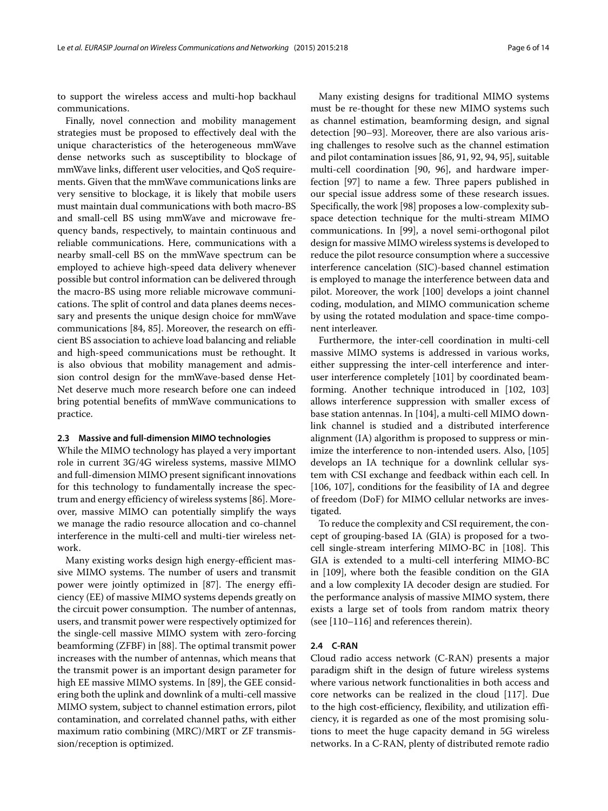to support the wireless access and multi-hop backhaul communications.

Finally, novel connection and mobility management strategies must be proposed to effectively deal with the unique characteristics of the heterogeneous mmWave dense networks such as susceptibility to blockage of mmWave links, different user velocities, and QoS requirements. Given that the mmWave communications links are very sensitive to blockage, it is likely that mobile users must maintain dual communications with both macro-BS and small-cell BS using mmWave and microwave frequency bands, respectively, to maintain continuous and reliable communications. Here, communications with a nearby small-cell BS on the mmWave spectrum can be employed to achieve high-speed data delivery whenever possible but control information can be delivered through the macro-BS using more reliable microwave communications. The split of control and data planes deems necessary and presents the unique design choice for mmWave communications [\[84,](#page-11-27) [85\]](#page-11-28). Moreover, the research on efficient BS association to achieve load balancing and reliable and high-speed communications must be rethought. It is also obvious that mobility management and admission control design for the mmWave-based dense Het-Net deserve much more research before one can indeed bring potential benefits of mmWave communications to practice.

#### **2.3 Massive and full-dimension MIMO technologies**

While the MIMO technology has played a very important role in current 3G/4G wireless systems, massive MIMO and full-dimension MIMO present significant innovations for this technology to fundamentally increase the spectrum and energy efficiency of wireless systems [\[86\]](#page-11-29). Moreover, massive MIMO can potentially simplify the ways we manage the radio resource allocation and co-channel interference in the multi-cell and multi-tier wireless network.

Many existing works design high energy-efficient massive MIMO systems. The number of users and transmit power were jointly optimized in [\[87\]](#page-11-30). The energy efficiency (EE) of massive MIMO systems depends greatly on the circuit power consumption. The number of antennas, users, and transmit power were respectively optimized for the single-cell massive MIMO system with zero-forcing beamforming (ZFBF) in [\[88\]](#page-11-31). The optimal transmit power increases with the number of antennas, which means that the transmit power is an important design parameter for high EE massive MIMO systems. In [\[89\]](#page-11-32), the GEE considering both the uplink and downlink of a multi-cell massive MIMO system, subject to channel estimation errors, pilot contamination, and correlated channel paths, with either maximum ratio combining (MRC)/MRT or ZF transmission/reception is optimized.

Many existing designs for traditional MIMO systems must be re-thought for these new MIMO systems such as channel estimation, beamforming design, and signal detection [\[90–](#page-11-33)[93\]](#page-11-34). Moreover, there are also various arising challenges to resolve such as the channel estimation and pilot contamination issues [\[86,](#page-11-29) [91,](#page-11-35) [92,](#page-11-36) [94,](#page-11-37) [95\]](#page-11-38), suitable multi-cell coordination [\[90,](#page-11-33) [96\]](#page-12-0), and hardware imperfection [\[97\]](#page-12-1) to name a few. Three papers published in our special issue address some of these research issues. Specifically, the work [\[98\]](#page-12-2) proposes a low-complexity subspace detection technique for the multi-stream MIMO communications. In [\[99\]](#page-12-3), a novel semi-orthogonal pilot design for massive MIMO wireless systems is developed to reduce the pilot resource consumption where a successive interference cancelation (SIC)-based channel estimation is employed to manage the interference between data and pilot. Moreover, the work [\[100\]](#page-12-4) develops a joint channel coding, modulation, and MIMO communication scheme by using the rotated modulation and space-time component interleaver.

Furthermore, the inter-cell coordination in multi-cell massive MIMO systems is addressed in various works, either suppressing the inter-cell interference and interuser interference completely [\[101\]](#page-12-5) by coordinated beamforming. Another technique introduced in [\[102,](#page-12-6) [103\]](#page-12-7) allows interference suppression with smaller excess of base station antennas. In [\[104\]](#page-12-8), a multi-cell MIMO downlink channel is studied and a distributed interference alignment (IA) algorithm is proposed to suppress or minimize the interference to non-intended users. Also, [\[105\]](#page-12-9) develops an IA technique for a downlink cellular system with CSI exchange and feedback within each cell. In [\[106,](#page-12-10) [107\]](#page-12-11), conditions for the feasibility of IA and degree of freedom (DoF) for MIMO cellular networks are investigated.

To reduce the complexity and CSI requirement, the concept of grouping-based IA (GIA) is proposed for a twocell single-stream interfering MIMO-BC in [\[108\]](#page-12-12). This GIA is extended to a multi-cell interfering MIMO-BC in [\[109\]](#page-12-13), where both the feasible condition on the GIA and a low complexity IA decoder design are studied. For the performance analysis of massive MIMO system, there exists a large set of tools from random matrix theory (see [\[110](#page-12-14)[–116\]](#page-12-15) and references therein).

## **2.4 C-RAN**

Cloud radio access network (C-RAN) presents a major paradigm shift in the design of future wireless systems where various network functionalities in both access and core networks can be realized in the cloud [\[117\]](#page-12-16). Due to the high cost-efficiency, flexibility, and utilization efficiency, it is regarded as one of the most promising solutions to meet the huge capacity demand in 5G wireless networks. In a C-RAN, plenty of distributed remote radio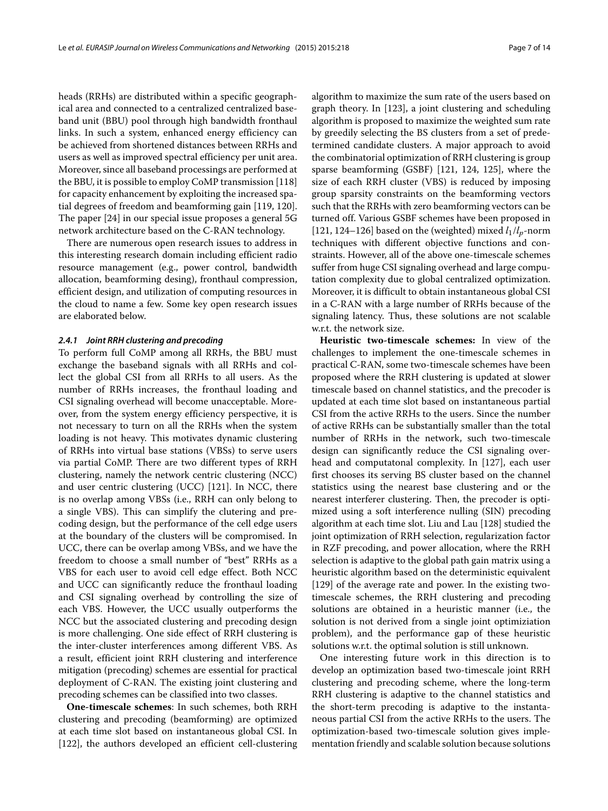heads (RRHs) are distributed within a specific geographical area and connected to a centralized centralized baseband unit (BBU) pool through high bandwidth fronthaul links. In such a system, enhanced energy efficiency can be achieved from shortened distances between RRHs and users as well as improved spectral efficiency per unit area. Moreover, since all baseband processings are performed at the BBU, it is possible to employ CoMP transmission [\[118\]](#page-12-17) for capacity enhancement by exploiting the increased spatial degrees of freedom and beamforming gain [\[119,](#page-12-18) [120\]](#page-12-19). The paper [\[24\]](#page-10-18) in our special issue proposes a general 5G network architecture based on the C-RAN technology.

There are numerous open research issues to address in this interesting research domain including efficient radio resource management (e.g., power control, bandwidth allocation, beamforming desing), fronthaul compression, efficient design, and utilization of computing resources in the cloud to name a few. Some key open research issues are elaborated below.

### *2.4.1 Joint RRH clustering and precoding*

To perform full CoMP among all RRHs, the BBU must exchange the baseband signals with all RRHs and collect the global CSI from all RRHs to all users. As the number of RRHs increases, the fronthaul loading and CSI signaling overhead will become unacceptable. Moreover, from the system energy efficiency perspective, it is not necessary to turn on all the RRHs when the system loading is not heavy. This motivates dynamic clustering of RRHs into virtual base stations (VBSs) to serve users via partial CoMP. There are two different types of RRH clustering, namely the network centric clustering (NCC) and user centric clustering (UCC) [\[121\]](#page-12-20). In NCC, there is no overlap among VBSs (i.e., RRH can only belong to a single VBS). This can simplify the clutering and precoding design, but the performance of the cell edge users at the boundary of the clusters will be compromised. In UCC, there can be overlap among VBSs, and we have the freedom to choose a small number of "best" RRHs as a VBS for each user to avoid cell edge effect. Both NCC and UCC can significantly reduce the fronthaul loading and CSI signaling overhead by controlling the size of each VBS. However, the UCC usually outperforms the NCC but the associated clustering and precoding design is more challenging. One side effect of RRH clustering is the inter-cluster interferences among different VBS. As a result, efficient joint RRH clustering and interference mitigation (precoding) schemes are essential for practical deployment of C-RAN. The existing joint clustering and precoding schemes can be classified into two classes.

**One-timescale schemes**: In such schemes, both RRH clustering and precoding (beamforming) are optimized at each time slot based on instantaneous global CSI. In [\[122\]](#page-12-21), the authors developed an efficient cell-clustering algorithm to maximize the sum rate of the users based on graph theory. In [\[123\]](#page-12-22), a joint clustering and scheduling algorithm is proposed to maximize the weighted sum rate by greedily selecting the BS clusters from a set of predetermined candidate clusters. A major approach to avoid the combinatorial optimization of RRH clustering is group sparse beamforming (GSBF) [\[121,](#page-12-20) [124,](#page-12-23) [125\]](#page-12-24), where the size of each RRH cluster (VBS) is reduced by imposing group sparsity constraints on the beamforming vectors such that the RRHs with zero beamforming vectors can be turned off. Various GSBF schemes have been proposed in [\[121,](#page-12-20) [124](#page-12-23)[–126\]](#page-12-25) based on the (weighted) mixed  $l_1/l_p$ -norm techniques with different objective functions and constraints. However, all of the above one-timescale schemes suffer from huge CSI signaling overhead and large computation complexity due to global centralized optimization. Moreover, it is difficult to obtain instantaneous global CSI in a C-RAN with a large number of RRHs because of the signaling latency. Thus, these solutions are not scalable w.r.t. the network size.

**Heuristic two-timescale schemes:** In view of the challenges to implement the one-timescale schemes in practical C-RAN, some two-timescale schemes have been proposed where the RRH clustering is updated at slower timescale based on channel statistics, and the precoder is updated at each time slot based on instantaneous partial CSI from the active RRHs to the users. Since the number of active RRHs can be substantially smaller than the total number of RRHs in the network, such two-timescale design can significantly reduce the CSI signaling overhead and computatonal complexity. In [\[127\]](#page-12-26), each user first chooses its serving BS cluster based on the channel statistics using the nearest base clustering and or the nearest interferer clustering. Then, the precoder is optimized using a soft interference nulling (SIN) precoding algorithm at each time slot. Liu and Lau [\[128\]](#page-12-27) studied the joint optimization of RRH selection, regularization factor in RZF precoding, and power allocation, where the RRH selection is adaptive to the global path gain matrix using a heuristic algorithm based on the deterministic equivalent [\[129\]](#page-12-28) of the average rate and power. In the existing twotimescale schemes, the RRH clustering and precoding solutions are obtained in a heuristic manner (i.e., the solution is not derived from a single joint optimiziation problem), and the performance gap of these heuristic solutions w.r.t. the optimal solution is still unknown.

One interesting future work in this direction is to develop an optimization based two-timescale joint RRH clustering and precoding scheme, where the long-term RRH clustering is adaptive to the channel statistics and the short-term precoding is adaptive to the instantaneous partial CSI from the active RRHs to the users. The optimization-based two-timescale solution gives implementation friendly and scalable solution because solutions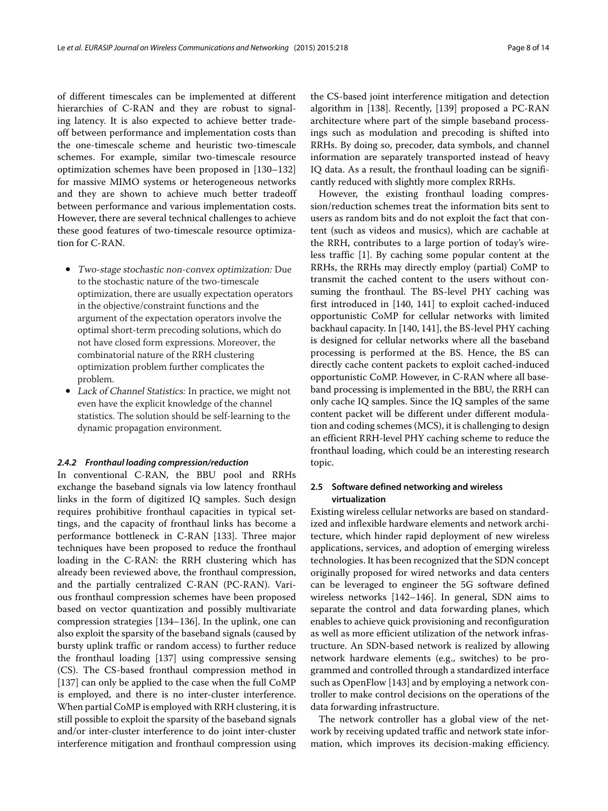of different timescales can be implemented at different hierarchies of C-RAN and they are robust to signaling latency. It is also expected to achieve better tradeoff between performance and implementation costs than the one-timescale scheme and heuristic two-timescale schemes. For example, similar two-timescale resource optimization schemes have been proposed in [\[130](#page-12-29)[–132\]](#page-12-30) for massive MIMO systems or heterogeneous networks and they are shown to achieve much better tradeoff between performance and various implementation costs. However, there are several technical challenges to achieve these good features of two-timescale resource optimization for C-RAN.

- Two-stage stochastic non-convex optimization: Due to the stochastic nature of the two-timescale optimization, there are usually expectation operators in the objective/constraint functions and the argument of the expectation operators involve the optimal short-term precoding solutions, which do not have closed form expressions. Moreover, the combinatorial nature of the RRH clustering optimization problem further complicates the problem.
- Lack of Channel Statistics: In practice, we might not even have the explicit knowledge of the channel statistics. The solution should be self-learning to the dynamic propagation environment.

### *2.4.2 Fronthaul loading compression/reduction*

In conventional C-RAN, the BBU pool and RRHs exchange the baseband signals via low latency fronthaul links in the form of digitized IQ samples. Such design requires prohibitive fronthaul capacities in typical settings, and the capacity of fronthaul links has become a performance bottleneck in C-RAN [\[133\]](#page-12-31). Three major techniques have been proposed to reduce the fronthaul loading in the C-RAN: the RRH clustering which has already been reviewed above, the fronthaul compression, and the partially centralized C-RAN (PC-RAN). Various fronthaul compression schemes have been proposed based on vector quantization and possibly multivariate compression strategies [\[134–](#page-12-32)[136\]](#page-12-33). In the uplink, one can also exploit the sparsity of the baseband signals (caused by bursty uplink traffic or random access) to further reduce the fronthaul loading [\[137\]](#page-12-34) using compressive sensing (CS). The CS-based fronthaul compression method in [\[137\]](#page-12-34) can only be applied to the case when the full CoMP is employed, and there is no inter-cluster interference. When partial CoMP is employed with RRH clustering, it is still possible to exploit the sparsity of the baseband signals and/or inter-cluster interference to do joint inter-cluster interference mitigation and fronthaul compression using the CS-based joint interference mitigation and detection algorithm in [\[138\]](#page-12-35). Recently, [\[139\]](#page-12-36) proposed a PC-RAN architecture where part of the simple baseband processings such as modulation and precoding is shifted into RRHs. By doing so, precoder, data symbols, and channel information are separately transported instead of heavy IQ data. As a result, the fronthaul loading can be significantly reduced with slightly more complex RRHs.

However, the existing fronthaul loading compression/reduction schemes treat the information bits sent to users as random bits and do not exploit the fact that content (such as videos and musics), which are cachable at the RRH, contributes to a large portion of today's wireless traffic [\[1\]](#page-10-0). By caching some popular content at the RRHs, the RRHs may directly employ (partial) CoMP to transmit the cached content to the users without consuming the fronthaul. The BS-level PHY caching was first introduced in [\[140,](#page-12-37) [141\]](#page-12-38) to exploit cached-induced opportunistic CoMP for cellular networks with limited backhaul capacity. In [\[140,](#page-12-37) [141\]](#page-12-38), the BS-level PHY caching is designed for cellular networks where all the baseband processing is performed at the BS. Hence, the BS can directly cache content packets to exploit cached-induced opportunistic CoMP. However, in C-RAN where all baseband processing is implemented in the BBU, the RRH can only cache IQ samples. Since the IQ samples of the same content packet will be different under different modulation and coding schemes (MCS), it is challenging to design an efficient RRH-level PHY caching scheme to reduce the fronthaul loading, which could be an interesting research topic.

## **2.5 Software defined networking and wireless virtualization**

Existing wireless cellular networks are based on standardized and inflexible hardware elements and network architecture, which hinder rapid deployment of new wireless applications, services, and adoption of emerging wireless technologies. It has been recognized that the SDN concept originally proposed for wired networks and data centers can be leveraged to engineer the 5G software defined wireless networks [\[142](#page-12-39)[–146\]](#page-13-0). In general, SDN aims to separate the control and data forwarding planes, which enables to achieve quick provisioning and reconfiguration as well as more efficient utilization of the network infrastructure. An SDN-based network is realized by allowing network hardware elements (e.g., switches) to be programmed and controlled through a standardized interface such as OpenFlow [\[143\]](#page-12-40) and by employing a network controller to make control decisions on the operations of the data forwarding infrastructure.

The network controller has a global view of the network by receiving updated traffic and network state information, which improves its decision-making efficiency.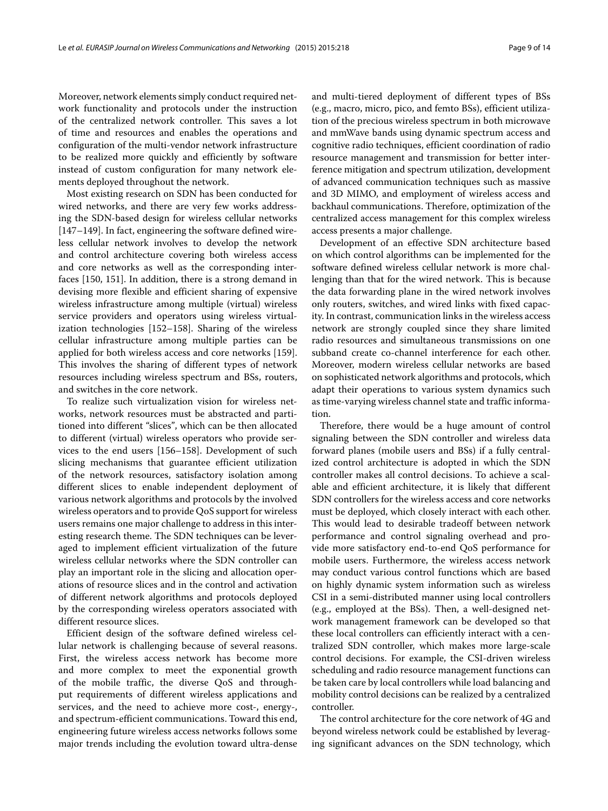Moreover, network elements simply conduct required network functionality and protocols under the instruction of the centralized network controller. This saves a lot of time and resources and enables the operations and configuration of the multi-vendor network infrastructure to be realized more quickly and efficiently by software instead of custom configuration for many network elements deployed throughout the network.

Most existing research on SDN has been conducted for wired networks, and there are very few works addressing the SDN-based design for wireless cellular networks [\[147](#page-13-1)[–149\]](#page-13-2). In fact, engineering the software defined wireless cellular network involves to develop the network and control architecture covering both wireless access and core networks as well as the corresponding interfaces [\[150,](#page-13-3) [151\]](#page-13-4). In addition, there is a strong demand in devising more flexible and efficient sharing of expensive wireless infrastructure among multiple (virtual) wireless service providers and operators using wireless virtualization technologies [\[152](#page-13-5)[–158\]](#page-13-6). Sharing of the wireless cellular infrastructure among multiple parties can be applied for both wireless access and core networks [\[159\]](#page-13-7). This involves the sharing of different types of network resources including wireless spectrum and BSs, routers, and switches in the core network.

To realize such virtualization vision for wireless networks, network resources must be abstracted and partitioned into different "slices", which can be then allocated to different (virtual) wireless operators who provide services to the end users [\[156–](#page-13-8)[158\]](#page-13-6). Development of such slicing mechanisms that guarantee efficient utilization of the network resources, satisfactory isolation among different slices to enable independent deployment of various network algorithms and protocols by the involved wireless operators and to provide QoS support for wireless users remains one major challenge to address in this interesting research theme. The SDN techniques can be leveraged to implement efficient virtualization of the future wireless cellular networks where the SDN controller can play an important role in the slicing and allocation operations of resource slices and in the control and activation of different network algorithms and protocols deployed by the corresponding wireless operators associated with different resource slices.

Efficient design of the software defined wireless cellular network is challenging because of several reasons. First, the wireless access network has become more and more complex to meet the exponential growth of the mobile traffic, the diverse QoS and throughput requirements of different wireless applications and services, and the need to achieve more cost-, energy-, and spectrum-efficient communications. Toward this end, engineering future wireless access networks follows some major trends including the evolution toward ultra-dense and multi-tiered deployment of different types of BSs (e.g., macro, micro, pico, and femto BSs), efficient utilization of the precious wireless spectrum in both microwave and mmWave bands using dynamic spectrum access and cognitive radio techniques, efficient coordination of radio resource management and transmission for better interference mitigation and spectrum utilization, development of advanced communication techniques such as massive and 3D MIMO, and employment of wireless access and backhaul communications. Therefore, optimization of the centralized access management for this complex wireless access presents a major challenge.

Development of an effective SDN architecture based on which control algorithms can be implemented for the software defined wireless cellular network is more challenging than that for the wired network. This is because the data forwarding plane in the wired network involves only routers, switches, and wired links with fixed capacity. In contrast, communication links in the wireless access network are strongly coupled since they share limited radio resources and simultaneous transmissions on one subband create co-channel interference for each other. Moreover, modern wireless cellular networks are based on sophisticated network algorithms and protocols, which adapt their operations to various system dynamics such as time-varying wireless channel state and traffic information.

Therefore, there would be a huge amount of control signaling between the SDN controller and wireless data forward planes (mobile users and BSs) if a fully centralized control architecture is adopted in which the SDN controller makes all control decisions. To achieve a scalable and efficient architecture, it is likely that different SDN controllers for the wireless access and core networks must be deployed, which closely interact with each other. This would lead to desirable tradeoff between network performance and control signaling overhead and provide more satisfactory end-to-end QoS performance for mobile users. Furthermore, the wireless access network may conduct various control functions which are based on highly dynamic system information such as wireless CSI in a semi-distributed manner using local controllers (e.g., employed at the BSs). Then, a well-designed network management framework can be developed so that these local controllers can efficiently interact with a centralized SDN controller, which makes more large-scale control decisions. For example, the CSI-driven wireless scheduling and radio resource management functions can be taken care by local controllers while load balancing and mobility control decisions can be realized by a centralized controller.

The control architecture for the core network of 4G and beyond wireless network could be established by leveraging significant advances on the SDN technology, which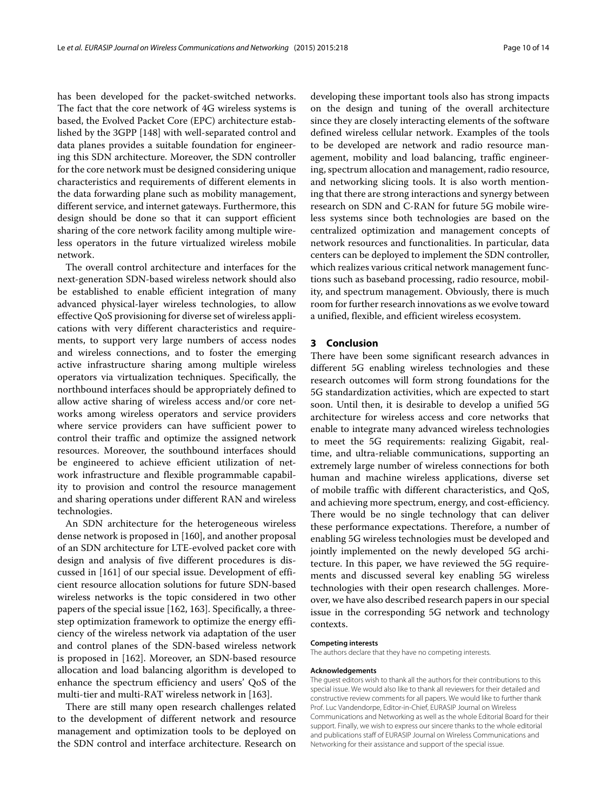has been developed for the packet-switched networks. The fact that the core network of 4G wireless systems is based, the Evolved Packet Core (EPC) architecture established by the 3GPP [\[148\]](#page-13-9) with well-separated control and data planes provides a suitable foundation for engineering this SDN architecture. Moreover, the SDN controller for the core network must be designed considering unique characteristics and requirements of different elements in the data forwarding plane such as mobility management, different service, and internet gateways. Furthermore, this design should be done so that it can support efficient sharing of the core network facility among multiple wireless operators in the future virtualized wireless mobile network.

The overall control architecture and interfaces for the next-generation SDN-based wireless network should also be established to enable efficient integration of many advanced physical-layer wireless technologies, to allow effective QoS provisioning for diverse set of wireless applications with very different characteristics and requirements, to support very large numbers of access nodes and wireless connections, and to foster the emerging active infrastructure sharing among multiple wireless operators via virtualization techniques. Specifically, the northbound interfaces should be appropriately defined to allow active sharing of wireless access and/or core networks among wireless operators and service providers where service providers can have sufficient power to control their traffic and optimize the assigned network resources. Moreover, the southbound interfaces should be engineered to achieve efficient utilization of network infrastructure and flexible programmable capability to provision and control the resource management and sharing operations under different RAN and wireless technologies.

An SDN architecture for the heterogeneous wireless dense network is proposed in [\[160\]](#page-13-10), and another proposal of an SDN architecture for LTE-evolved packet core with design and analysis of five different procedures is discussed in [\[161\]](#page-13-11) of our special issue. Development of efficient resource allocation solutions for future SDN-based wireless networks is the topic considered in two other papers of the special issue [\[162,](#page-13-12) [163\]](#page-13-13). Specifically, a threestep optimization framework to optimize the energy efficiency of the wireless network via adaptation of the user and control planes of the SDN-based wireless network is proposed in [\[162\]](#page-13-12). Moreover, an SDN-based resource allocation and load balancing algorithm is developed to enhance the spectrum efficiency and users' QoS of the multi-tier and multi-RAT wireless network in [\[163\]](#page-13-13).

There are still many open research challenges related to the development of different network and resource management and optimization tools to be deployed on the SDN control and interface architecture. Research on

developing these important tools also has strong impacts on the design and tuning of the overall architecture since they are closely interacting elements of the software defined wireless cellular network. Examples of the tools to be developed are network and radio resource management, mobility and load balancing, traffic engineering, spectrum allocation and management, radio resource, and networking slicing tools. It is also worth mentioning that there are strong interactions and synergy between research on SDN and C-RAN for future 5G mobile wireless systems since both technologies are based on the centralized optimization and management concepts of network resources and functionalities. In particular, data centers can be deployed to implement the SDN controller, which realizes various critical network management functions such as baseband processing, radio resource, mobility, and spectrum management. Obviously, there is much room for further research innovations as we evolve toward a unified, flexible, and efficient wireless ecosystem.

## **3 Conclusion**

There have been some significant research advances in different 5G enabling wireless technologies and these research outcomes will form strong foundations for the 5G standardization activities, which are expected to start soon. Until then, it is desirable to develop a unified 5G architecture for wireless access and core networks that enable to integrate many advanced wireless technologies to meet the 5G requirements: realizing Gigabit, realtime, and ultra-reliable communications, supporting an extremely large number of wireless connections for both human and machine wireless applications, diverse set of mobile traffic with different characteristics, and QoS, and achieving more spectrum, energy, and cost-efficiency. There would be no single technology that can deliver these performance expectations. Therefore, a number of enabling 5G wireless technologies must be developed and jointly implemented on the newly developed 5G architecture. In this paper, we have reviewed the 5G requirements and discussed several key enabling 5G wireless technologies with their open research challenges. Moreover, we have also described research papers in our special issue in the corresponding 5G network and technology contexts.

#### **Competing interests**

The authors declare that they have no competing interests.

#### **Acknowledgements**

The guest editors wish to thank all the authors for their contributions to this special issue. We would also like to thank all reviewers for their detailed and constructive review comments for all papers. We would like to further thank Prof. Luc Vandendorpe, Editor-in-Chief, EURASIP Journal on Wireless Communications and Networking as well as the whole Editorial Board for their support. Finally, we wish to express our sincere thanks to the whole editorial and publications staff of EURASIP Journal on Wireless Communications and Networking for their assistance and support of the special issue.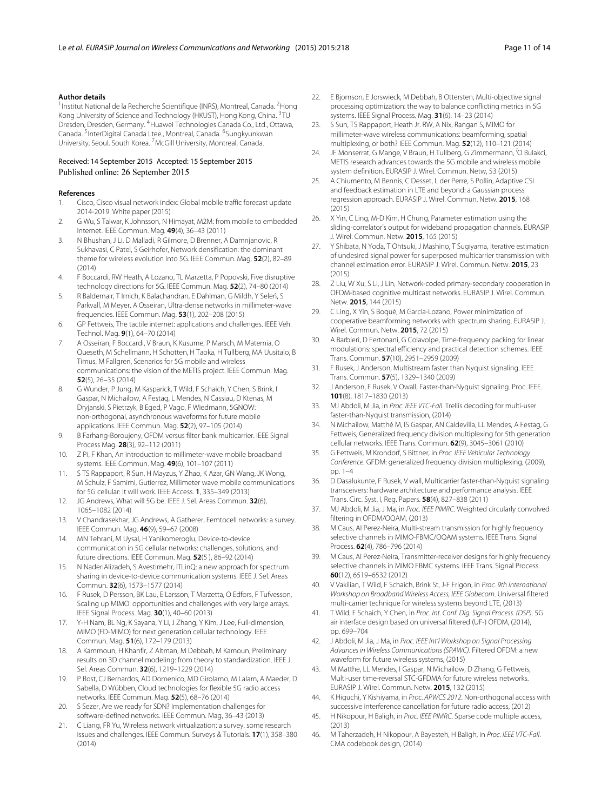#### **Author details**

<sup>1</sup> Institut National de la Recherche Scientifique (INRS), Montreal, Canada. <sup>2</sup>Hong Kong University of Science and Technology (HKUST), Hong Kong, China. <sup>3</sup>TU Dresden, Dresden, Germany. 4Huawei Technologies Canada Co., Ltd., Ottawa, Canada. 5InterDigital Canada Ltee., Montreal, Canada. 6Sungkyunkwan University, Seoul, South Korea. 7McGill University, Montreal, Canada.

#### Received: 14 September 2015 Accepted: 15 September 2015 Published online: 26 September 2015

#### **References**

- <span id="page-10-0"></span>1. Cisco, Cisco visual network index: Global mobile traffic forecast update 2014-2019. White paper (2015)
- <span id="page-10-1"></span>2. G Wu, S Talwar, K Johnsson, N Himayat, M2M: from mobile to embedded Internet. IEEE Commun. Mag. **49**(4), 36–43 (2011)
- <span id="page-10-2"></span>3. N Bhushan, J Li, D Malladi, R Gilmore, D Brenner, A Damnjanovic, R Sukhavasi, C Patel, S Geirhofer, Network densification: the dominant theme for wireless evolution into 5G. IEEE Commun. Mag. **52**(2), 82–89 (2014)
- 4. F Boccardi, RW Heath, A Lozano, TL Marzetta, P Popovski, Five disruptive technology directions for 5G. IEEE Commun. Mag. **52**(2), 74–80 (2014)
- <span id="page-10-3"></span>5. R Baldemair, T Irnich, K Balachandran, E Dahlman, G Mildh, Y Seleń, S Parkvall, M Meyer, A Osseiran, Ultra-dense networks in millimeter-wave frequencies. IEEE Commun. Mag. **53**(1), 202–208 (2015)
- <span id="page-10-4"></span>6. GP Fettweis, The tactile internet: applications and challenges. IEEE Veh. Technol. Mag. **9**(1), 64–70 (2014)
- <span id="page-10-5"></span>7. A Osseiran, F Boccardi, V Braun, K Kusume, P Marsch, M Maternia, O Queseth, M Schellmann, H Schotten, H Taoka, H Tullberg, MA Uusitalo, B Timus, M Fallgren, Scenarios for 5G mobile and wireless communications: the vision of the METIS project. IEEE Commun. Mag. **52**(5), 26–35 (2014)
- <span id="page-10-6"></span>8. G Wunder, P Jung, M Kasparick, T Wild, F Schaich, Y Chen, S Brink, I Gaspar, N Michailow, A Festag, L Mendes, N Cassiau, D Ktenas, M Dryjanski, S Pietrzyk, B Eged, P Vago, F Wiedmann, 5GNOW: non-orthogonal, asynchronous waveforms for future mobile applications. IEEE Commun. Mag. **52**(2), 97–105 (2014)
- <span id="page-10-7"></span>9. B Farhang-Boroujeny, OFDM versus filter bank multicarrier. IEEE Signal Process Mag. **28**(3), 92–112 (2011)
- <span id="page-10-8"></span>10. Z Pi, F Khan, An introduction to millimeter-wave mobile broadband systems. IEEE Commun. Mag. **49**(6), 101–107 (2011)
- <span id="page-10-9"></span>11. S TS Rappaport, R Sun, H Mayzus, Y Zhao, K Azar, GN Wang, JK Wong, M Schulz, F Samimi, Gutierrez, Millimeter wave mobile communications for 5G cellular: it will work. IEEE Access. **1**, 335–349 (2013)
- <span id="page-10-10"></span>12. JG Andrews, What will 5G be. IEEE J. Sel. Areas Commun. **32**(6), 1065–1082 (2014)
- 13. V Chandrasekhar, JG Andrews, A Gatherer, Femtocell networks: a survey. IEEE Commun. Mag. **46**(9), 59–67 (2008)
- 14. MN Tehrani, M Uysal, H Yanikomeroglu, Device-to-device communication in 5G cellular networks: challenges, solutions, and future directions. IEEE Commun. Mag. **52**(5 ), 86–92 (2014)
- <span id="page-10-11"></span>15. N NaderiAlizadeh, S Avestimehr, ITLinQ: a new approach for spectrum sharing in device-to-device communication systems. IEEE J. Sel. Areas Commun. **32**(6), 1573–1577 (2014)
- <span id="page-10-12"></span>16. F Rusek, D Persson, BK Lau, E Larsson, T Marzetta, O Edfors, F Tufvesson, Scaling up MIMO: opportunities and challenges with very large arrays. IEEE Signal Process. Mag. **30**(1), 40–60 (2013)
- 17. Y-H Nam, BL Ng, K Sayana, Y Li, J Zhang, Y Kim, J Lee, Full-dimension, MIMO (FD-MIMO) for next generation cellular technology. IEEE Commun. Mag. **51**(6), 172–179 (2013)
- <span id="page-10-13"></span>18. A Kammoun, H Khanfir, Z Altman, M Debbah, M Kamoun, Preliminary results on 3D channel modeling: from theory to standardization. IEEE J. Sel. Areas Commun. **32**(6), 1219–1229 (2014)
- <span id="page-10-14"></span>19. P Rost, CJ Bernardos, AD Domenico, MD Girolamo, M Lalam, A Maeder, D Sabella, D Wübben, Cloud technologies for flexible 5G radio access networks. IEEE Commun. Mag. **52**(5), 68–76 (2014)
- 20. S Sezer, Are we ready for SDN? Implementation challenges for software-defined networks. IEEE Commun. Mag, 36–43 (2013)
- <span id="page-10-15"></span>21. C Liang, FR Yu, Wireless network virtualization: a survey, some research issues and challenges. IEEE Commun. Surveys & Tutorials. **17**(1), 358–380 (2014)
- <span id="page-10-16"></span>22. E Bjornson, E Jorswieck, M Debbah, B Ottersten, Multi-objective signal processing optimization: the way to balance conflicting metrics in 5G systems. IEEE Signal Process. Mag. **31**(6), 14–23 (2014)
- <span id="page-10-17"></span>23. S Sun, TS Rappaport, Heath Jr. RW, A Nix, Rangan S, MIMO for millimeter-wave wireless communications: beamforming, spatial multiplexing, or both? IEEE Commun. Mag. **52**(12), 110–121 (2014)
- <span id="page-10-18"></span>24. JF Monserrat, G Mange, V Braun, H Tullberg, G Zimmermann, <sup>'</sup>O Bulakci, METIS research advances towards the 5G mobile and wireless mobile system definition. EURASIP J. Wirel. Commun. Netw, 53 (2015)
- <span id="page-10-19"></span>25. A Chiumento, M Bennis, C Desset, L der Perre, S Pollin, Adaptive CSI and feedback estimation in LTE and beyond: a Gaussian process regression approach. EURASIP J. Wirel. Commun. Netw. **2015**, 168 (2015)
- <span id="page-10-21"></span>26. X Yin, C Ling, M-D Kim, H Chung, Parameter estimation using the sliding-correlator's output for wideband propagation channels. EURASIP J. Wirel. Commun. Netw. **2015**, 165 (2015)
- <span id="page-10-20"></span>27. Y Shibata, N Yoda, T Ohtsuki, J Mashino, T Sugiyama, Iterative estimation of undesired signal power for superposed multicarrier transmission with channel estimation error. EURASIP J. Wirel. Commun. Netw. **2015**, 23  $(2015)$
- <span id="page-10-22"></span>28. Z Liu, W Xu, S Li, J Lin, Network-coded primary-secondary cooperation in OFDM-based cognitive multicast networks. EURASIP J. Wirel. Commun. Netw. **2015**, 144 (2015)
- <span id="page-10-23"></span>29. C Ling, X Yin, S Boqué, M García-Lozano, Power minimization of cooperative beamforming networks with spectrum sharing. EURASIP J. Wirel. Commun. Netw. **2015**, 72 (2015)
- <span id="page-10-24"></span>30. A Barbieri, D Fertonani, G Colavolpe, Time-frequency packing for linear modulations: spectral efficiency and practical detection schemes. IEEE Trans. Commun. **57**(10), 2951–2959 (2009)
- <span id="page-10-27"></span>31. F Rusek, J Anderson, Multistream faster than Nyquist signaling. IEEE Trans. Commun. **57**(5), 1329–1340 (2009)
- 32. J Anderson, F Rusek, V Owall, Faster-than-Nyquist signaling. Proc. IEEE. **101**(8), 1817–1830 (2013)
- <span id="page-10-26"></span>33. MJ Abdoli, M Jia, in Proc. IEEE VTC-Fall. Trellis decoding for multi-user faster-than-Nyquist transmission, (2014)
- <span id="page-10-35"></span>34. N Michailow, Matthé M, IS Gaspar, AN Caldevilla, LL Mendes, A Festag, G Fettweis, Generalized frequency division multiplexing for 5th generation cellular networks. IEEE Trans. Commun. **62**(9), 3045–3061 (2010)
- <span id="page-10-25"></span>35. G Fettweis, M Krondorf, S Bittner, in Proc. IEEE Vehicular Technology Conference. GFDM: generalized frequency division multiplexing, (2009), pp. 1–4
- <span id="page-10-28"></span>36. D Dasalukunte, F Rusek, V wall, Multicarrier faster-than-Nyquist signaling transceivers: hardware architecture and performance analysis. IEEE Trans. Circ. Syst. I, Reg. Papers. **58**(4), 827–838 (2011)
- <span id="page-10-29"></span>37. MJ Abdoli, M Jia, J Ma, in Proc. IEEE PIMRC. Weighted circularly convolved filtering in OFDM/OQAM, (2013)
- <span id="page-10-30"></span>38. M Caus, AI Perez-Neira, Multi-stream transmission for highly frequency selective channels in MIMO-FBMC/OQAM systems. IEEE Trans. Signal Process. **62**(4), 786–796 (2014)
- <span id="page-10-31"></span>39. M Caus, AI Perez-Neira, Transmitter-receiver designs for highly frequency selective channels in MIMO FBMC systems. IEEE Trans. Signal Process. **60**(12), 6519–6532 (2012)
- <span id="page-10-32"></span>40. V Vakilian, T Wild, F Schaich, Brink St, J-F Frigon, in Proc. 9th International Workshop on Broadband Wireless Access, IEEE Globecom. Universal filtered multi-carrier technique for wireless systems beyond LTE, (2013)
- <span id="page-10-33"></span>41. T Wild, F Schaich, Y Chen, in Proc. Int. Conf. Dig. Signal Process. (DSP). 5G air interface design based on universal filtered (UF-) OFDM, (2014), pp. 699–704
- <span id="page-10-34"></span>42. J Abdoli, M Jia, J Ma, in Proc. IEEE Int'l Workshop on Signal Processing Advances in Wireless Communications (SPAWC). Filtered OFDM: a new waveform for future wireless systems, (2015)
- <span id="page-10-36"></span>43. M Matthe, LL Mendes, I Gaspar, N Michailow, D Zhang, G Fettweis, Multi-user time-reversal STC-GFDMA for future wireless networks. EURASIP J. Wirel. Commun. Netw. **2015**, 132 (2015)
- <span id="page-10-37"></span>44. K Higuchi, Y Kishiyama, in Proc. APWCS 2012. Non-orthogonal access with successive interference cancellation for future radio access, (2012)
- <span id="page-10-38"></span>45. H Nikopour, H Baligh, in Proc. IEEE PIMRC. Sparse code multiple access, (2013)
- <span id="page-10-39"></span>46. M Taherzadeh, H Nikopour, A Bayesteh, H Baligh, in Proc. IEEE VTC-Fall. CMA codebook design, (2014)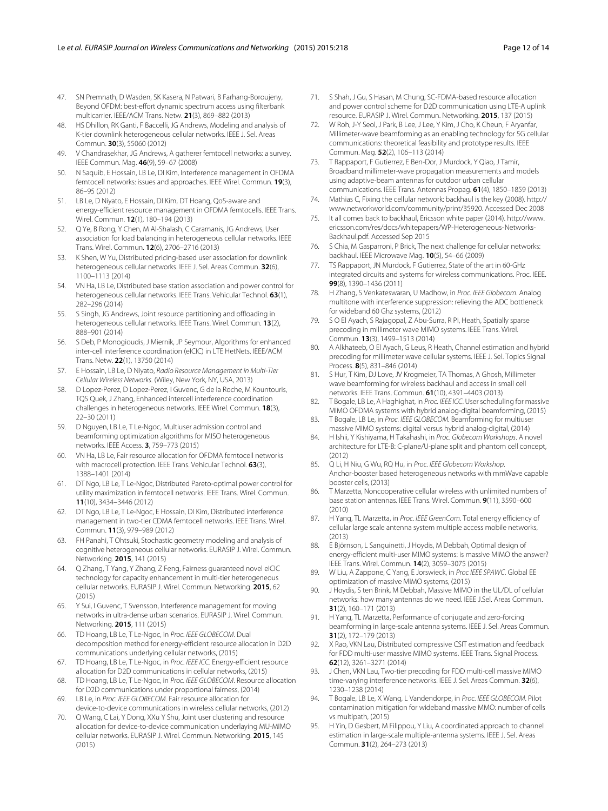- <span id="page-11-0"></span>47. SN Premnath, D Wasden, SK Kasera, N Patwari, B Farhang-Boroujeny, Beyond OFDM: best-effort dynamic spectrum access using filterbank multicarrier. IEEE/ACM Trans. Netw. **21**(3), 869–882 (2013)
- <span id="page-11-1"></span>48. HS Dhillon, RK Ganti, F Baccelli, JG Andrews, Modeling and analysis of K-tier downlink heterogeneous cellular networks. IEEE J. Sel. Areas Commun. **30**(3), 55060 (2012)
- <span id="page-11-6"></span>49. V Chandrasekhar, JG Andrews, A gatherer femtocell networks: a survey. IEEE Commun. Mag. **46**(9), 59–67 (2008)
- <span id="page-11-2"></span>50. N Saquib, E Hossain, LB Le, DI Kim, Interference management in OFDMA femtocell networks: issues and approaches. IEEE Wirel. Commun. **19**(3), 86–95 (2012)
- <span id="page-11-3"></span>51. LB Le, D Niyato, E Hossain, DI Kim, DT Hoang, QoS-aware and energy-efficient resource management in OFDMA femtocells. IEEE Trans. Wirel. Commun. **12**(1), 180–194 (2013)
- 52. Q Ye, B Rong, Y Chen, M Al-Shalash, C Caramanis, JG Andrews, User association for load balancing in heterogeneous cellular networks. IEEE Trans. Wirel. Commun. **12**(6), 2706–2716 (2013)
- 53. K Shen, W Yu, Distributed pricing-based user association for downlink heterogeneous cellular networks. IEEE J. Sel. Areas Commun. **32**(6), 1100–1113 (2014)
- 54. VN Ha, LB Le, Distributed base station association and power control for heterogeneous cellular networks. IEEE Trans. Vehicular Technol. **63**(1), 282–296 (2014)
- 55. S Singh, JG Andrews, Joint resource partitioning and offloading in heterogeneous cellular networks. IEEE Trans. Wirel. Commun. **13**(2), 888–901 (2014)
- <span id="page-11-4"></span>56. S Deb, P Monogioudis, J Miernik, JP Seymour, Algorithms for enhanced inter-cell interference coordination (eICIC) in LTE HetNets. IEEE/ACM Trans. Netw. **22**(1), 13750 (2014)
- <span id="page-11-5"></span>57. E Hossain, LB Le, D Niyato, Radio Resource Management in Multi-Tier Cellular Wireless Networks. (Wiley, New York, NY, USA, 2013)
- <span id="page-11-7"></span>58. D Lopez-Perez, D Lopez-Perez, I Guvenc, G de la Roche, M Kountouris, TQS Quek, J Zhang, Enhanced intercell interference coordination challenges in heterogeneous networks. IEEE Wirel. Commun. **18**(3), 22–30 (2011)
- 59. D Nguyen, LB Le, T Le-Ngoc, Multiuser admission control and beamforming optimization algorithms for MISO heterogeneous networks. IEEE Access. **3**, 759–773 (2015)
- 60. VN Ha, LB Le, Fair resource allocation for OFDMA femtocell networks with macrocell protection. IEEE Trans. Vehicular Technol. **63**(3), 1388–1401 (2014)
- 61. DT Ngo, LB Le, T Le-Ngoc, Distributed Pareto-optimal power control for utility maximization in femtocell networks. IEEE Trans. Wirel. Commun. **11**(10), 3434–3446 (2012)
- <span id="page-11-8"></span>62. DT Ngo, LB Le, T Le-Ngoc, E Hossain, DI Kim, Distributed interference management in two-tier CDMA femtocell networks. IEEE Trans. Wirel. Commun. **11**(3), 979–989 (2012)
- <span id="page-11-9"></span>63. FH Panahi, T Ohtsuki, Stochastic geometry modeling and analysis of cognitive heterogeneous cellular networks. EURASIP J. Wirel. Commun. Networking. **2015**, 141 (2015)
- <span id="page-11-10"></span>64. Q Zhang, T Yang, Y Zhang, Z Feng, Fairness guaranteed novel eICIC technology for capacity enhancement in multi-tier heterogeneous cellular networks. EURASIP J. Wirel. Commun. Networking. **2015**, 62 (2015)
- <span id="page-11-11"></span>65. Y Sui, I Guvenc, T Svensson, Interference management for moving networks in ultra-dense urban scenarios. EURASIP J. Wirel. Commun. Networking. **2015**, 111 (2015)
- <span id="page-11-12"></span>66. TD Hoang, LB Le, T Le-Ngoc, in Proc. IEEE GLOBECOM. Dual decomposition method for energy-efficient resource allocation in D2D communications underlying cellular networks, (2015)
- 67. TD Hoang, LB Le, T Le-Ngoc, in Proc. IEEE ICC. Energy-efficient resource allocation for D2D communications in cellular networks, (2015)
- 68. TD Hoang, LB Le, T Le-Ngoc, in Proc. IEEE GLOBECOM. Resource allocation for D2D communications under proportional fairness, (2014)
- <span id="page-11-13"></span>69. LB Le, in Proc. IEEE GLOBECOM. Fair resource allocation for device-to-device communications in wireless cellular networks, (2012)
- <span id="page-11-14"></span>70. Q Wang, C Lai, Y Dong, XXu Y Shu, Joint user clustering and resource allocation for device-to-device communication underlaying MU-MIMO cellular networks. EURASIP J. Wirel. Commun. Networking. **2015**, 145 (2015)
- <span id="page-11-15"></span>71. S Shah, J Gu, S Hasan, M Chung, SC-FDMA-based resource allocation and power control scheme for D2D communication using LTE-A uplink resource. EURASIP J. Wirel. Commun. Networking. **2015**, 137 (2015)
- <span id="page-11-16"></span>72. W Roh, J-Y Seol, J Park, B Lee, J Lee, Y Kim, J Cho, K Cheun, F Aryanfar, Millimeter-wave beamforming as an enabling technology for 5G cellular communications: theoretical feasibility and prototype results. IEEE Commun. Mag. **52**(2), 106–113 (2014)
- <span id="page-11-17"></span>73. T Rappaport, F Gutierrez, E Ben-Dor, J Murdock, Y Qiao, J Tamir, Broadband millimeter-wave propagation measurements and models using adaptive-beam antennas for outdoor urban cellular communications. IEEE Trans. Antennas Propag. **61**(4), 1850–1859 (2013)
- <span id="page-11-18"></span>74. Mathias C, Fixing the cellular network: backhaul is the key (2008). [http://](http://www.networkworld.com/community/print/35920) [www.networkworld.com/community/print/35920.](http://www.networkworld.com/community/print/35920) Accessed Dec 2008
- 75. It all comes back to backhaul, Ericsson white paper (2014). [http://www.](http://www.ericsson.com/res/docs/whitepapers/WP-Heterogeneous-Networks-Backhaul.pdf) [ericsson.com/res/docs/whitepapers/WP-Heterogeneous-Networks-](http://www.ericsson.com/res/docs/whitepapers/WP-Heterogeneous-Networks-Backhaul.pdf)[Backhaul.pdf.](http://www.ericsson.com/res/docs/whitepapers/WP-Heterogeneous-Networks-Backhaul.pdf) Accessed Sep 2015
- <span id="page-11-19"></span>76. S Chia, M Gasparroni, P Brick, The next challenge for cellular networks: backhaul. IEEE Microwave Mag. **10**(5), 54–66 (2009)
- <span id="page-11-20"></span>77. TS Rappaport, JN Murdock, F Gutierrez, State of the art in 60-GHz integrated circuits and systems for wireless communications. Proc. IEEE. **99**(8), 1390–1436 (2011)
- <span id="page-11-24"></span>78. H Zhang, S Venkateswaran, U Madhow, in Proc. IEEE Globecom. Analog multitone with interference suppression: relieving the ADC bottleneck for wideband 60 Ghz systems, (2012)
- <span id="page-11-22"></span>79. S O El Ayach, S Rajagopal, Z Abu-Surra, R Pi, Heath, Spatially sparse precoding in millimeter wave MIMO systems. IEEE Trans. Wirel. Commun. **13**(3), 1499–1513 (2014)
- <span id="page-11-23"></span>80. A Alkhateeb, O El Ayach, G Leus, R Heath, Channel estimation and hybrid precoding for millimeter wave cellular systems. IEEE J. Sel. Topics Signal Process. **8**(5), 831–846 (2014)
- <span id="page-11-26"></span>81. S Hur, T Kim, DJ Love, JV Krogmeier, TA Thomas, A Ghosh, Millimeter wave beamforming for wireless backhaul and access in small cell networks. IEEE Trans. Commun. **61**(10), 4391–4403 (2013)
- <span id="page-11-25"></span>82. T Bogale, LB Le, A Haghighat, in Proc. IEEE ICC. User scheduling for massive MIMO OFDMA systems with hybrid analog-digital beamforming, (2015)
- <span id="page-11-21"></span>83. T Bogale, LB Le, in Proc. IEEE GLOBECOM. Beamforming for multiuser massive MIMO systems: digital versus hybrid analog-digital, (2014)
- <span id="page-11-27"></span>84. H Ishii, Y Kishiyama, H Takahashi, in Proc. Globecom Workshops. A novel architecture for LTE-B: C-plane/U-plane split and phantom cell concept, (2012)
- <span id="page-11-28"></span>85. Q Li, H Niu, G Wu, RQ Hu, in Proc. IEEE Globecom Workshop. Anchor-booster based heterogeneous networks with mmWave capable booster cells, (2013)
- <span id="page-11-29"></span>86. T Marzetta, Noncooperative cellular wireless with unlimited numbers of base station antennas. IEEE Trans. Wirel. Commun. **9**(11), 3590–600  $(2010)$
- <span id="page-11-30"></span>87. H Yang, TL Marzetta, in Proc. IEEE GreenCom. Total energy efficiency of cellular large scale antenna system multiple access mobile networks, (2013)
- <span id="page-11-31"></span>E Björnson, L Sanguinetti, J Hoydis, M Debbah, Optimal design of energy-efficient multi-user MIMO systems: is massive MIMO the answer? IEEE Trans. Wirel. Commun. **14**(2), 3059–3075 (2015)
- <span id="page-11-32"></span>89. W Liu, A Zappone, C Yang, E Jorswieck, in Proc IEEE SPAWC. Global EE optimization of massive MIMO systems, (2015)
- <span id="page-11-33"></span>90. J Hoydis, S ten Brink, M Debbah, Massive MIMO in the UL/DL of cellular networks: how many antennas do we need. IEEE J.Sel. Areas Commun. **31**(2), 160–171 (2013)
- <span id="page-11-35"></span>91. H Yang, TL Marzetta, Performance of conjugate and zero-forcing beamforming in large-scale antenna systems. IEEE J. Sel. Areas Commun. **31**(2), 172–179 (2013)
- <span id="page-11-36"></span>92. X Rao, VKN Lau, Distributed compressive CSIT estimation and feedback for FDD multi-user massive MIMO systems. IEEE Trans. Signal Process. **62**(12), 3261–3271 (2014)
- <span id="page-11-34"></span>93. J Chen, VKN Lau, Two-tier precoding for FDD multi-cell massive MIMO time-varying interference networks. IEEE J. Sel. Areas Commun. **32**(6), 1230–1238 (2014)
- <span id="page-11-37"></span>94. T Bogale, LB Le, X Wang, L Vandendorpe, in Proc. IEEE GLOBECOM. Pilot contamination mitigation for wideband massive MMO: number of cells vs multipath, (2015)
- <span id="page-11-38"></span>95. H Yin, D Gesbert, M Filippou, Y Liu, A coordinated approach to channel estimation in large-scale multiple-antenna systems. IEEE J. Sel. Areas Commun. **31**(2), 264–273 (2013)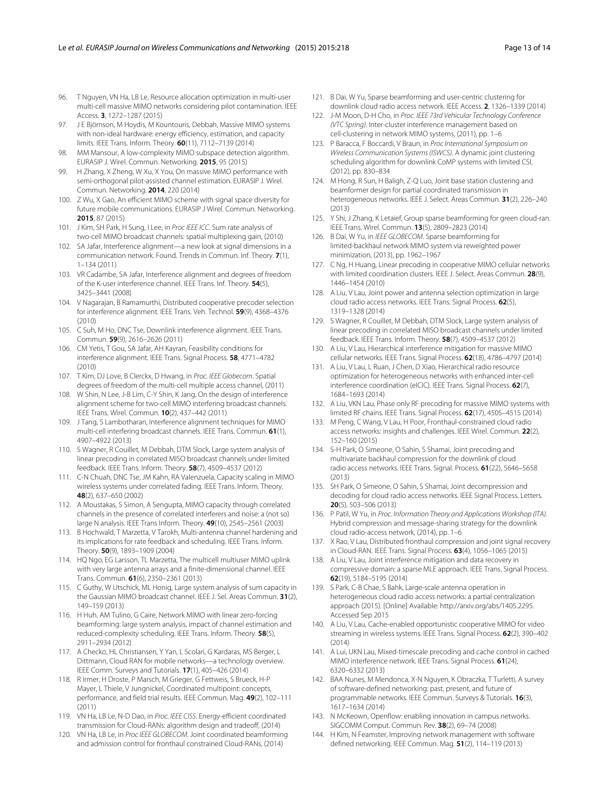- <span id="page-12-0"></span>96. T Nguyen, VN Ha, LB Le, Resource allocation optimization in multi-user multi-cell massive MIMO networks considering pilot contamination. IEEE Access. **3**, 1272–1287 (2015)
- <span id="page-12-1"></span>97. J E Björnson, M Hoydis, M Kountouris, Debbah, Massive MIMO systems with non-ideal hardware: energy efficiency, estimation, and capacity limits. IEEE Trans. Inform. Theory. **60**(11), 7112–7139 (2014)
- <span id="page-12-2"></span>98. MM Mansour, A low-complexity MIMO subspace detection algorithm. EURASIP J. Wirel. Commun. Networking. **2015**, 95 (2015)
- <span id="page-12-3"></span>99. H Zhang, X Zheng, W Xu, X You, On massive MIMO performance with semi-orthogonal pilot-assisted channel estimation. EURASIP J. Wirel. Commun. Networking. **2014**, 220 (2014)
- <span id="page-12-4"></span>100. Z Wu, X Gao, An efficient MIMO scheme with signal space diversity for future mobile communications. EURASIP J Wirel. Commun. Networking. **2015**, 87 (2015)
- <span id="page-12-5"></span>101. J Kim, SH Park, H Sung, I Lee, in Proc IEEE ICC. Sum rate analysis of two-cell MIMO broadcast channels: spatial multiplexing gain, (2010)
- <span id="page-12-6"></span>102. SA Jafar, Interference alignment—a new look at signal dimensions in a communication network. Found. Trends in Commun. Inf. Theory. **7**(1), 1–134 (2011)
- <span id="page-12-7"></span>103. VR Cadambe, SA Jafar, Interference alignment and degrees of freedom of the K-user interference channel. IEEE Trans. Inf. Theory. **54**(5), 3425–3441 (2008)
- <span id="page-12-8"></span>104. V Nagarajan, B Ramamurthi, Distributed cooperative precoder selection for interference alignment. IEEE Trans. Veh. Technol. **59**(9), 4368–4376 (2010)
- <span id="page-12-9"></span>105. C Suh, M Ho, DNC Tse, Downlink interference alignment. IEEE Trans. Commun. **59**(9), 2616–2626 (2011)
- <span id="page-12-10"></span>106. CM Yetis, T Gou, SA Jafar, AH Kayran, Feasibility conditions for interference alignment. IEEE Trans. Signal Process. **58**, 4771–4782 (2010)
- <span id="page-12-11"></span>107. T Kim, DJ Love, B Clerckx, D Hwang, in Proc. IEEE Globecom. Spatial degrees of freedom of the multi-cell multiple access channel, (2011)
- <span id="page-12-12"></span>108. W Shin, N Lee, J-B Lim, C-Y Shin, K Jang, On the design of interference alignment scheme for two-cell MIMO interfering broadcast channels. IEEE Trans. Wirel. Commun. **10**(2), 437–442 (2011)
- <span id="page-12-13"></span>109. J Tang, S Lambotharan, Interference alignment techniques for MIMO multi-cell interfering broadcast channels. IEEE Trans. Commun. **61**(1), 4907–4922 (2013)
- <span id="page-12-14"></span>110. S Wagner, R Couillet, M Debbah, DTM Slock, Large system analysis of linear precoding in correlated MISO broadcast channels under limited feedback. IEEE Trans. Inform. Theory. **58**(7), 4509–4537 (2012)
- 111. C-N Chuah, DNC Tse, JM Kahn, RA Valenzuela, Capacity scaling in MIMO wireless systems under correlated fading. IEEE Trans. Inform. Theory. **48**(2), 637–650 (2002)
- 112. A Moustakas, S Simon, A Sengupta, MIMO capacity through correlated channels in the presence of correlated interferers and noise: a (not so) large N analysis. IEEE Trans Inform. Theory. **49**(10), 2545–2561 (2003)
- 113. B Hochwald, T Marzetta, V Tarokh, Multi-antenna channel hardening and its implications for rate feedback and scheduling. IEEE Trans. Inform. Theory. **50**(9), 1893–1909 (2004)
- 114. HQ Ngo, EG Larsson, TL Marzetta, The multicell multiuser MIMO uplink with very large antenna arrays and a finite-dimensional channel. IEEE Trans. Commun. **61**(6), 2350–2361 (2013)
- 115. C Guthy, W Utschick, ML Honig, Large system analysis of sum capacity in the Gaussian MIMO broadcast channel. IEEE J. Sel. Areas Commun. **31**(2), 149–159 (2013)
- <span id="page-12-15"></span>116. H Huh, AM Tulino, G Caire, Network MIMO with linear zero-forcing beamforming: large system analysis, impact of channel estimation and reduced-complexity scheduling. IEEE Trans. Inform. Theory. **58**(5), 2911–2934 (2012)
- <span id="page-12-16"></span>117. A Checko, HL Christiansen, Y Yan, L Scolari, G Kardaras, MS Berger, L Dittmann, Cloud RAN for mobile networks—a technology overview. IEEE Comm. Surveys and Tutorials. **17**(1), 405–426 (2014)
- <span id="page-12-17"></span>118. R Irmer, H Droste, P Marsch, M Grieger, G Fettweis, S Brueck, H-P Mayer, L Thiele, V Jungnickel, Coordinated multipoint: concepts, performance, and field trial results. IEEE Commun. Mag. **49**(2), 102–111 (2011)
- <span id="page-12-18"></span>119. VN Ha, LB Le, N-D Dao, in Proc. IEEE CISS. Energy-efficient coordinated transmission for Cloud-RANs: algorithm design and tradeoff, (2014)
- <span id="page-12-19"></span>120. VN Ha, LB Le, in Proc IEEE GLOBECOM. Joint coordinated beamforming and admission control for fronthaul constrained Cloud-RANs, (2014)
- <span id="page-12-20"></span>121. B Dai, W Yu, Sparse beamforming and user-centric clustering for downlink cloud radio access network. IEEE Access. **2**, 1326–1339 (2014)
- <span id="page-12-21"></span>122. J-M Moon, D-H Cho, in Proc. IEEE 73rd Vehicular Technology Conference (VTC Spring). Inter-cluster interference management based on cell-clustering in network MIMO systems, (2011), pp. 1–6
- <span id="page-12-22"></span>123. P Baracca, F Boccardi, V Braun, in Proc International Symposium on Wireless Communication Systems (ISWCS). A dynamic joint clustering scheduling algorithm for downlink CoMP systems with limited CSI, (2012), pp. 830–834
- <span id="page-12-23"></span>124. M Hong, R Sun, H Baligh, Z-Q Luo, Joint base station clustering and beamformer design for partial coordinated transmission in heterogeneous networks. IEEE J. Select. Areas Commun. **31**(2), 226–240 (2013)
- <span id="page-12-24"></span>125. Y Shi, J Zhang, K Letaief, Group sparse beamforming for green cloud-ran. IEEE Trans. Wirel. Commun. **13**(5), 2809–2823 (2014)
- <span id="page-12-25"></span>126. B Dai, W Yu, in IEEE GLOBECOM. Sparse beamforming for limited-backhaul network MIMO system via reweighted power minimization, (2013), pp. 1962–1967
- <span id="page-12-26"></span>127. C Ng, H Huang, Linear precoding in cooperative MIMO cellular networks with limited coordination clusters. IEEE J. Select. Areas Commun. **28**(9), 1446–1454 (2010)
- <span id="page-12-27"></span>128. A Liu, V Lau, Joint power and antenna selection optimization in large cloud radio access networks. IEEE Trans. Signal Process. **62**(5), 1319–1328 (2014)
- <span id="page-12-28"></span>129. S Wagner, R Couillet, M Debbah, DTM Slock, Large system analysis of linear precoding in correlated MISO broadcast channels under limited feedback. IEEE Trans. Inform. Theory. **58**(7), 4509–4537 (2012)
- <span id="page-12-29"></span>130. A Liu, V Lau, Hierarchical interference mitigation for massive MIMO cellular networks. IEEE Trans. Signal Process. **62**(18), 4786–4797 (2014)
- 131. A Liu, V Lau, L Ruan, J Chen, D Xiao, Hierarchical radio resource optimization for heterogeneous networks with enhanced inter-cell interference coordination (eICIC). IEEE Trans. Signal Process. **62**(7), 1684–1693 (2014)
- <span id="page-12-30"></span>132. A Liu, VKN Lau, Phase only RF precoding for massive MIMO systems with limited RF chains. IEEE Trans. Signal Process. **62**(17), 4505–4515 (2014)
- <span id="page-12-31"></span>133. M Peng, C Wang, V Lau, H Poor, Fronthaul-constrained cloud radio access networks: insights and challenges. IEEE Wirel. Commun. **22**(2), 152–160 (2015)
- <span id="page-12-32"></span>134. S-H Park, O Simeone, O Sahin, S Shamai, Joint precoding and multivariate backhaul compression for the downlink of cloud radio access networks. IEEE Trans. Signal. Process. **61**(22), 5646–5658 (2013)
- 135. SH Park, O Simeone, O Sahin, S Shamai, Joint decompression and decoding for cloud radio access networks. IEEE Signal Process. Letters. **20**(5), 503–506 (2013)
- <span id="page-12-33"></span>136. P Patil, W Yu, in Proc. Information Theory and Applications Workshop (ITA). Hybrid compression and message-sharing strategy for the downlink cloud radio-access network, (2014), pp. 1–6
- <span id="page-12-34"></span>137. X Rao, V Lau, Distributed fronthaul compression and joint signal recovery in Cloud-RAN. IEEE Trans. Signal Process. **63**(4), 1056–1065 (2015)
- <span id="page-12-35"></span>138. A Liu, V Lau, Joint interference mitigation and data recovery in compressive domain: a sparse MLE approach. IEEE Trans. Signal Process. **62**(19), 5184–5195 (2014)
- <span id="page-12-36"></span>139. S Park, C-B Chae, S Bahk, Large-scale antenna operation in heterogeneous cloud radio access networks: a partial centralization approach (2015). [Online] Available: [http://arxiv.org/abs/1405.2295.](http://arxiv.org/abs/1405.2295) Accessed Sep 2015
- <span id="page-12-37"></span>140. A Liu, V Lau, Cache-enabled opportunistic cooperative MIMO for video streaming in wireless systems. IEEE Trans. Signal Process. **62**(2), 390–402 (2014)
- <span id="page-12-38"></span>141. A Lui, UKN Lau, Mixed-timescale precoding and cache control in cached MIMO interference network. IEEE Trans. Signal Process. **61**(24), 6320–6332 (2013)
- <span id="page-12-39"></span>142. BAA Nunes, M Mendonca, X-N Nguyen, K Obraczka, T Turletti, A survey of software-defined networking: past, present, and future of programmable networks. IEEE Commun. Surveys & Tutorials. **16**(3), 1617–1634 (2014)
- <span id="page-12-40"></span>143. N McKeown, Openflow: enabling innovation in campus networks. SIGCOMM Comput. Commun. Rev. **38**(2), 69–74 (2008)
- 144. H Kim, N Feamster, Improving network management with software defined networking. IEEE Commun. Mag. **51**(2), 114–119 (2013)